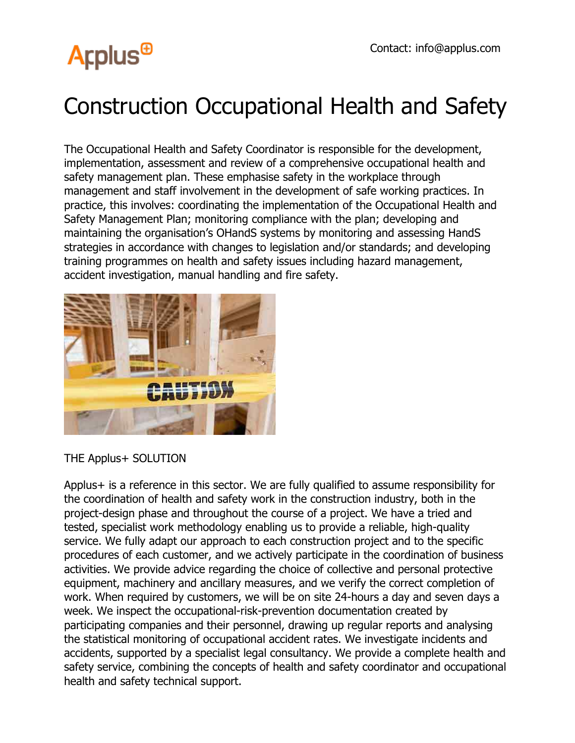# **Arplus<sup>®</sup>**

### Construction Occupational Health and Safety

The Occupational Health and Safety Coordinator is responsible for the development, implementation, assessment and review of a comprehensive occupational health and safety management plan. These emphasise safety in the workplace through management and staff involvement in the development of safe working practices. In practice, this involves: coordinating the implementation of the Occupational Health and Safety Management Plan; monitoring compliance with the plan; developing and maintaining the organisation's OHandS systems by monitoring and assessing HandS strategies in accordance with changes to legislation and/or standards; and developing training programmes on health and safety issues including hazard management, accident investigation, manual handling and fire safety.



THE Applus+ SOLUTION

Applus+ is a reference in this sector. We are fully qualified to assume responsibility for the coordination of health and safety work in the construction industry, both in the project-design phase and throughout the course of a project. We have a tried and tested, specialist work methodology enabling us to provide a reliable, high-quality service. We fully adapt our approach to each construction project and to the specific procedures of each customer, and we actively participate in the coordination of business activities. We provide advice regarding the choice of collective and personal protective equipment, machinery and ancillary measures, and we verify the correct completion of work. When required by customers, we will be on site 24-hours a day and seven days a week. We inspect the occupational-risk-prevention documentation created by participating companies and their personnel, drawing up regular reports and analysing the statistical monitoring of occupational accident rates. We investigate incidents and accidents, supported by a specialist legal consultancy. We provide a complete health and safety service, combining the concepts of health and safety coordinator and occupational health and safety technical support.